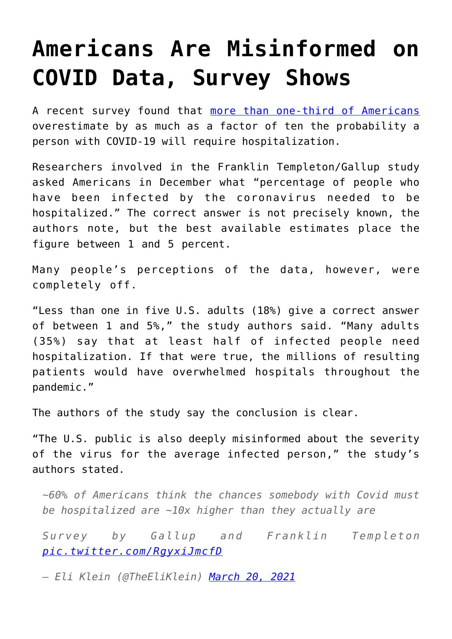## **[Americans Are Misinformed on](https://intellectualtakeout.org/2021/03/americans-are-misinformed-on-covid-data-survey-shows/) [COVID Data, Survey Shows](https://intellectualtakeout.org/2021/03/americans-are-misinformed-on-covid-data-survey-shows/)**

A recent survey found that [more than one-third of Americans](https://www.brookings.edu/research/how-misinformation-is-distorting-covid-policies-and-behaviors/) overestimate by as much as a factor of ten the probability a person with COVID-19 will require hospitalization.

Researchers involved in the Franklin Templeton/Gallup study asked Americans in December what "percentage of people who have been infected by the coronavirus needed to be hospitalized." The correct answer is not precisely known, the authors note, but the best available estimates place the figure between 1 and 5 percent.

Many people's perceptions of the data, however, were completely off.

"Less than one in five U.S. adults (18%) give a correct answer of between 1 and 5%," the study authors said. "Many adults (35%) say that at least half of infected people need hospitalization. If that were true, the millions of resulting patients would have overwhelmed hospitals throughout the pandemic."

The authors of the study say the conclusion is clear.

"The U.S. public is also deeply misinformed about the severity of the virus for the average infected person," the study's authors stated.

*~60% of Americans think the chances somebody with Covid must be hospitalized are ~10x higher than they actually are*

*Survey by Gallup and Franklin Templeton [pic.twitter.com/RgyxiJmcfD](https://t.co/RgyxiJmcfD)*

*— Eli Klein (@TheEliKlein) [March 20, 2021](https://twitter.com/TheEliKlein/status/1373408037692710914?ref_src=twsrc%5Etfw)*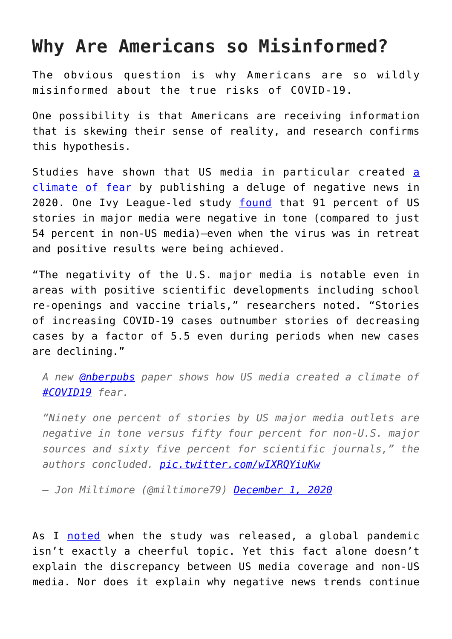## **Why Are Americans so Misinformed?**

The obvious question is why Americans are so wildly misinformed about the true risks of COVID-19.

One possibility is that Americans are receiving information that is skewing their sense of reality, and research confirms this hypothesis.

Studies h[a](https://fee.org/articles/ivy-league-study-shows-how-us-media-created-a-climate-of-fear-over-covid-19/)ve shown that US media in particular created a [climate of fear](https://fee.org/articles/ivy-league-study-shows-how-us-media-created-a-climate-of-fear-over-covid-19/) by publishing a deluge of negative news in 2020. One Ivy League-led study [found](https://www.nber.org/system/files/working_papers/w28110/w28110.pdf) that 91 percent of US stories in major media were negative in tone (compared to just 54 percent in non-US media)—even when the virus was in retreat and positive results were being achieved.

"The negativity of the U.S. major media is notable even in areas with positive scientific developments including school re-openings and vaccine trials," researchers noted. "Stories of increasing COVID-19 cases outnumber stories of decreasing cases by a factor of 5.5 even during periods when new cases are declining."

*A new [@nberpubs](https://twitter.com/nberpubs?ref_src=twsrc%5Etfw) paper shows how US media created a climate of [#COVID19](https://twitter.com/hashtag/COVID19?src=hash&ref_src=twsrc%5Etfw) fear.*

*"Ninety one percent of stories by US major media outlets are negative in tone versus fifty four percent for non-U.S. major sources and sixty five percent for scientific journals," the authors concluded. [pic.twitter.com/wIXRQYiuKw](https://t.co/wIXRQYiuKw)*

*— Jon Miltimore (@miltimore79) [December 1, 2020](https://twitter.com/miltimore79/status/1333858435591516165?ref_src=twsrc%5Etfw)*

As I [noted](https://fee.org/articles/ivy-league-study-shows-how-us-media-created-a-climate-of-fear-over-covid-19/) when the study was released, a global pandemic isn't exactly a cheerful topic. Yet this fact alone doesn't explain the discrepancy between US media coverage and non-US media. Nor does it explain why negative news trends continue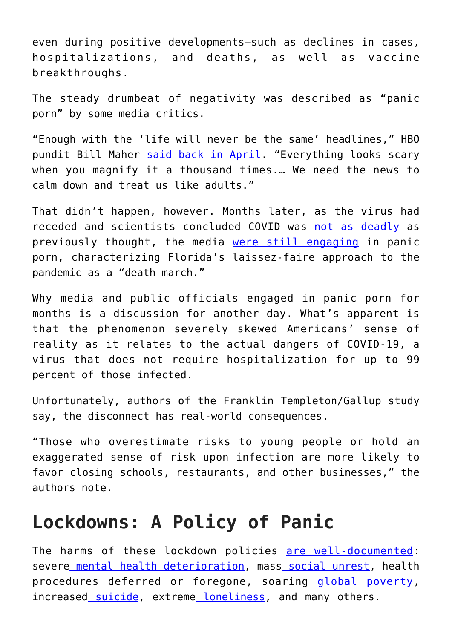even during positive developments—such as declines in cases, hospitalizations, and deaths, as well as vaccine breakthroughs.

The steady drumbeat of negativity was described as "panic porn" by some media critics.

"Enough with the 'life will never be the same' headlines," HBO pundit Bill Maher [said back in April](https://deadline.com/2020/04/bill-maher-rails-against-media-covid-19-panic-porn-donald-trump-re-elected-1202911733/). "Everything looks scary when you magnify it a thousand times.… We need the news to calm down and treat us like adults."

That didn't happen, however. Months later, as the virus had receded and scientists concluded COVID was [not as deadly](https://fee.org/articles/npr-mounting-evidence-suggests-covid-not-as-deadly-as-thought-did-the-experts-fail-again/) as previously thought, the media [were still engaging](https://fee.org/articles/media-are-finally-starting-to-reconsider-floridas-pandemic-strategy/) in panic porn, characterizing Florida's laissez-faire approach to the pandemic as a "death march."

Why media and public officials engaged in panic porn for months is a discussion for another day. What's apparent is that the phenomenon severely skewed Americans' sense of reality as it relates to the actual dangers of COVID-19, a virus that does not require hospitalization for up to 99 percent of those infected.

Unfortunately, authors of the Franklin Templeton/Gallup study say, the disconnect has real-world consequences.

"Those who overestimate risks to young people or hold an exaggerated sense of risk upon infection are more likely to favor closing schools, restaurants, and other businesses," the authors note.

## **Lockdowns: A Policy of Panic**

The harms of these lockdown policies [are well-documented:](https://fee.org/articles/4-life-threatening-unintended-consequences-of-the-lockdowns/) severe [mental health deterioration](https://fee.org/articles/harvard-researchers-nearly-half-of-young-adults-showing-signs-of-depression-amid-pandemic/), mass [social unrest,](https://twitter.com/miltimore79/status/1371219213273169922) health procedures deferred or foregone, soaring [global poverty,](https://fee.org/articles/covid-crisis-could-push-100-million-people-into-extreme-poverty-new-world-bank-study-says/) increased [suicide,](https://www.fee.org/articles/a-years-worth-of-suicide-attempts-in-four-weeks-the-unintended-consequences-of-covid-19-lockdowns/?fbclid=IwAR3w8DlcyaRvzzW4BC90vID4znE9Zf-QqkWtf1m9sb1I_Ak80t9Y9hrSr6I&filter_by=popular7&page=2&utm_campaign=targetingMN&utm_medium=display&utm_source=facebook) extreme [loneliness](https://fee.org/articles/harvard-study-an-epidemic-of-loneliness-is-spreading-across-america/), and many others.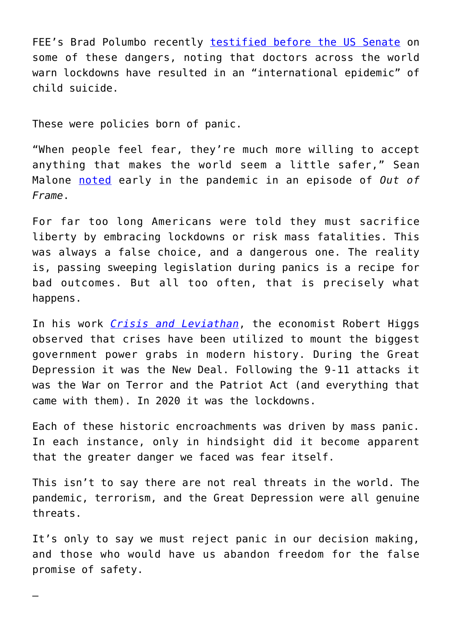FEE's Brad Polumbo recently [testified before the US Senate](https://fee.org/articles/fee-testifies-before-the-senate-the-life-threatening-unintended-consequences-of-pandemic-lockdowns/) on some of these dangers, noting that doctors across the world warn lockdowns have resulted in an "international epidemic" of child suicide.

These were policies born of panic.

—

"When people feel fear, they're much more willing to accept anything that makes the world seem a little safer," Sean Malone [noted](https://www.youtube.com/watch?v=o7yn_LmJags) early in the pandemic in an episode of *Out of Frame*.

For far too long Americans were told they must sacrifice liberty by embracing lockdowns or risk mass fatalities. This was always a false choice, and a dangerous one. The reality is, passing sweeping legislation during panics is a recipe for bad outcomes. But all too often, that is precisely what happens.

In his work *[Crisis and Leviathan](https://amzn.to/397g1yB)*, the economist Robert Higgs observed that crises have been utilized to mount the biggest government power grabs in modern history. During the Great Depression it was the New Deal. Following the 9-11 attacks it was the War on Terror and the Patriot Act (and everything that came with them). In 2020 it was the lockdowns.

Each of these historic encroachments was driven by mass panic. In each instance, only in hindsight did it become apparent that the greater danger we faced was fear itself.

This isn't to say there are not real threats in the world. The pandemic, terrorism, and the Great Depression were all genuine threats.

It's only to say we must reject panic in our decision making, and those who would have us abandon freedom for the false promise of safety.